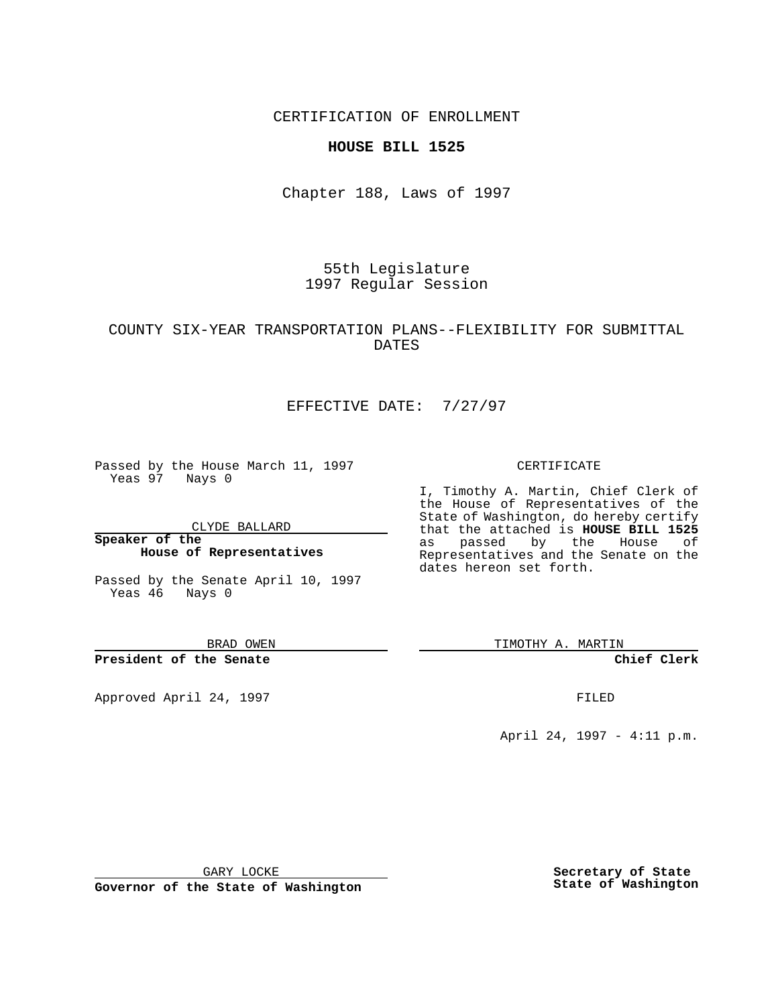CERTIFICATION OF ENROLLMENT

### **HOUSE BILL 1525**

Chapter 188, Laws of 1997

55th Legislature 1997 Regular Session

## COUNTY SIX-YEAR TRANSPORTATION PLANS--FLEXIBILITY FOR SUBMITTAL DATES

# EFFECTIVE DATE: 7/27/97

Passed by the House March 11, 1997 Yeas 97 Nays 0

CLYDE BALLARD

**Speaker of the House of Representatives**

Passed by the Senate April 10, 1997 Yeas 46 Nays 0

BRAD OWEN

**President of the Senate**

Approved April 24, 1997 **FILED** 

#### CERTIFICATE

I, Timothy A. Martin, Chief Clerk of the House of Representatives of the State of Washington, do hereby certify that the attached is **HOUSE BILL 1525** as passed by the House of Representatives and the Senate on the dates hereon set forth.

TIMOTHY A. MARTIN

**Chief Clerk**

April 24, 1997 - 4:11 p.m.

GARY LOCKE

**Governor of the State of Washington**

**Secretary of State State of Washington**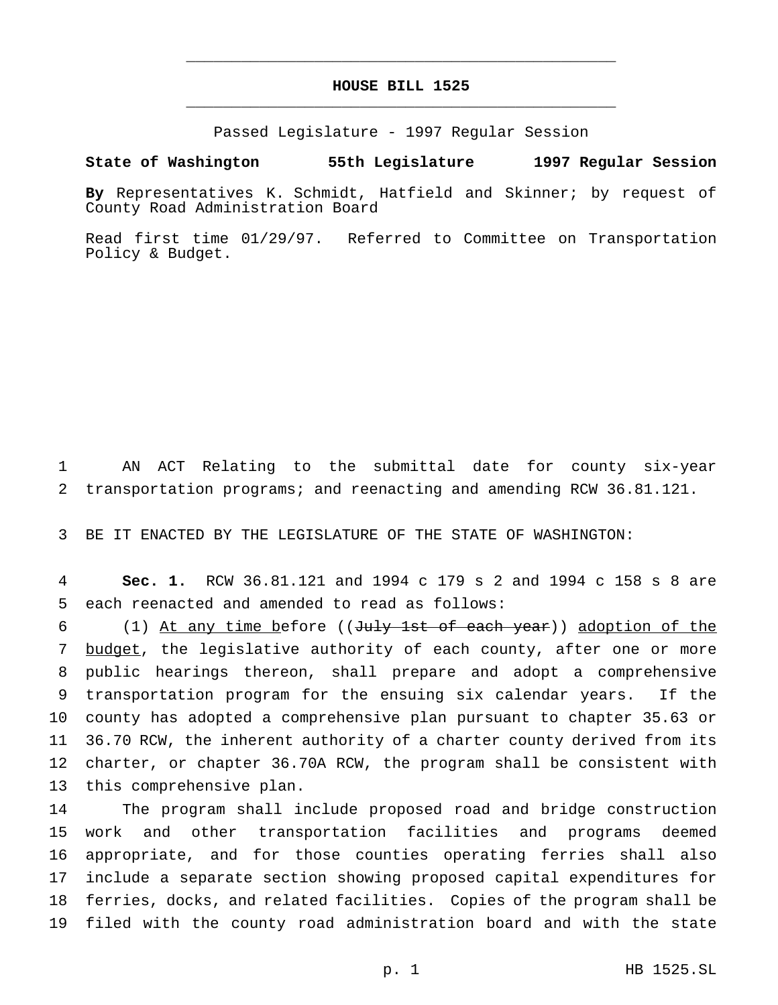## **HOUSE BILL 1525** \_\_\_\_\_\_\_\_\_\_\_\_\_\_\_\_\_\_\_\_\_\_\_\_\_\_\_\_\_\_\_\_\_\_\_\_\_\_\_\_\_\_\_\_\_\_\_

\_\_\_\_\_\_\_\_\_\_\_\_\_\_\_\_\_\_\_\_\_\_\_\_\_\_\_\_\_\_\_\_\_\_\_\_\_\_\_\_\_\_\_\_\_\_\_

Passed Legislature - 1997 Regular Session

### **State of Washington 55th Legislature 1997 Regular Session**

**By** Representatives K. Schmidt, Hatfield and Skinner; by request of County Road Administration Board

Read first time 01/29/97. Referred to Committee on Transportation Policy & Budget.

1 AN ACT Relating to the submittal date for county six-year 2 transportation programs; and reenacting and amending RCW 36.81.121.

3 BE IT ENACTED BY THE LEGISLATURE OF THE STATE OF WASHINGTON:

4 **Sec. 1.** RCW 36.81.121 and 1994 c 179 s 2 and 1994 c 158 s 8 are 5 each reenacted and amended to read as follows:

6 (1) At any time before ((July 1st of each year)) adoption of the 7 budget, the legislative authority of each county, after one or more public hearings thereon, shall prepare and adopt a comprehensive transportation program for the ensuing six calendar years. If the county has adopted a comprehensive plan pursuant to chapter 35.63 or 36.70 RCW, the inherent authority of a charter county derived from its charter, or chapter 36.70A RCW, the program shall be consistent with this comprehensive plan.

 The program shall include proposed road and bridge construction work and other transportation facilities and programs deemed appropriate, and for those counties operating ferries shall also include a separate section showing proposed capital expenditures for ferries, docks, and related facilities. Copies of the program shall be filed with the county road administration board and with the state